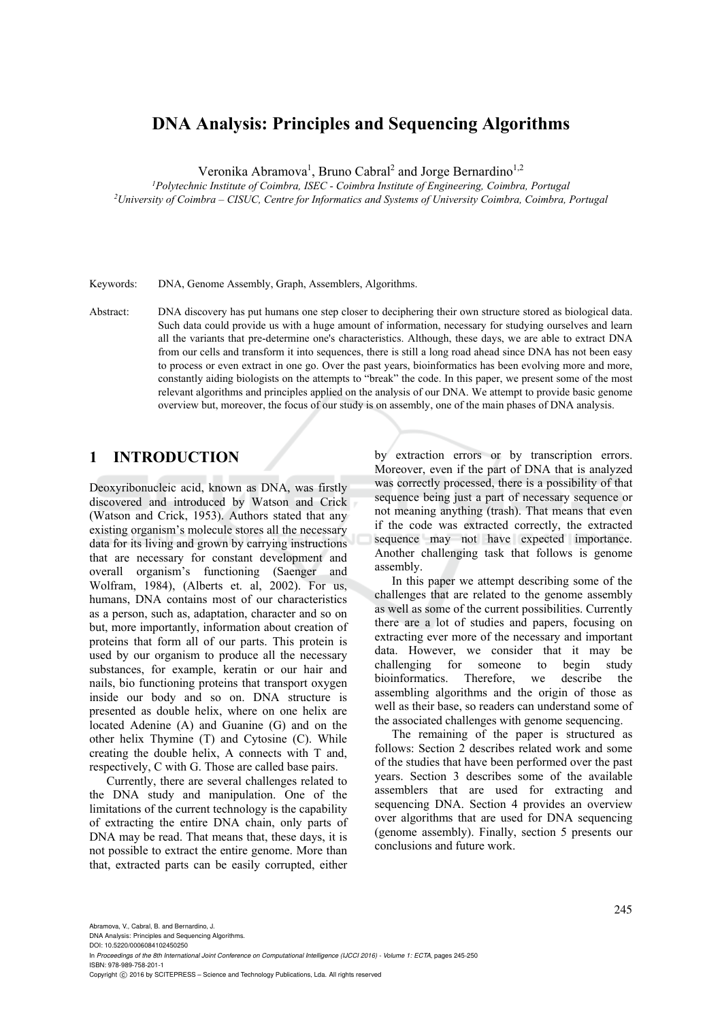# **DNA Analysis: Principles and Sequencing Algorithms**

Veronika Abramova<sup>1</sup>, Bruno Cabral<sup>2</sup> and Jorge Bernardino<sup>1,2</sup>

*1 Polytechnic Institute of Coimbra, ISEC - Coimbra Institute of Engineering, Coimbra, Portugal 2 University of Coimbra – CISUC, Centre for Informatics and Systems of University Coimbra, Coimbra, Portugal* 

Keywords: DNA, Genome Assembly, Graph, Assemblers, Algorithms.

Abstract: DNA discovery has put humans one step closer to deciphering their own structure stored as biological data. Such data could provide us with a huge amount of information, necessary for studying ourselves and learn all the variants that pre-determine one's characteristics. Although, these days, we are able to extract DNA from our cells and transform it into sequences, there is still a long road ahead since DNA has not been easy to process or even extract in one go. Over the past years, bioinformatics has been evolving more and more, constantly aiding biologists on the attempts to "break" the code. In this paper, we present some of the most relevant algorithms and principles applied on the analysis of our DNA. We attempt to provide basic genome overview but, moreover, the focus of our study is on assembly, one of the main phases of DNA analysis.

## **1 INTRODUCTION**

Deoxyribonucleic acid, known as DNA, was firstly discovered and introduced by Watson and Crick (Watson and Crick, 1953). Authors stated that any existing organism's molecule stores all the necessary data for its living and grown by carrying instructions that are necessary for constant development and overall organism's functioning (Saenger and Wolfram, 1984), (Alberts et. al, 2002). For us, humans, DNA contains most of our characteristics as a person, such as, adaptation, character and so on but, more importantly, information about creation of proteins that form all of our parts. This protein is used by our organism to produce all the necessary substances, for example, keratin or our hair and nails, bio functioning proteins that transport oxygen inside our body and so on. DNA structure is presented as double helix, where on one helix are located Adenine (A) and Guanine (G) and on the other helix Thymine (T) and Cytosine (C). While creating the double helix, A connects with T and, respectively, C with G. Those are called base pairs.

Currently, there are several challenges related to the DNA study and manipulation. One of the limitations of the current technology is the capability of extracting the entire DNA chain, only parts of DNA may be read. That means that, these days, it is not possible to extract the entire genome. More than that, extracted parts can be easily corrupted, either

by extraction errors or by transcription errors. Moreover, even if the part of DNA that is analyzed was correctly processed, there is a possibility of that sequence being just a part of necessary sequence or not meaning anything (trash). That means that even if the code was extracted correctly, the extracted sequence may not have expected importance. Another challenging task that follows is genome assembly.

In this paper we attempt describing some of the challenges that are related to the genome assembly as well as some of the current possibilities. Currently there are a lot of studies and papers, focusing on extracting ever more of the necessary and important data. However, we consider that it may be challenging for someone to begin study bioinformatics. Therefore, we describe the assembling algorithms and the origin of those as well as their base, so readers can understand some of the associated challenges with genome sequencing.

The remaining of the paper is structured as follows: Section 2 describes related work and some of the studies that have been performed over the past years. Section 3 describes some of the available assemblers that are used for extracting and sequencing DNA. Section 4 provides an overview over algorithms that are used for DNA sequencing (genome assembly). Finally, section 5 presents our conclusions and future work.

DNA Analysis: Principles and Sequencing Algorithms.

DOI: 10.5220/0006084102450250

In *Proceedings of the 8th International Joint Conference on Computational Intelligence (IJCCI 2016) - Volume 1: ECTA*, pages 245-250 ISBN: 978-989-758-201-1

Copyright © 2016 by SCITEPRESS - Science and Technology Publications, Lda. All rights reserved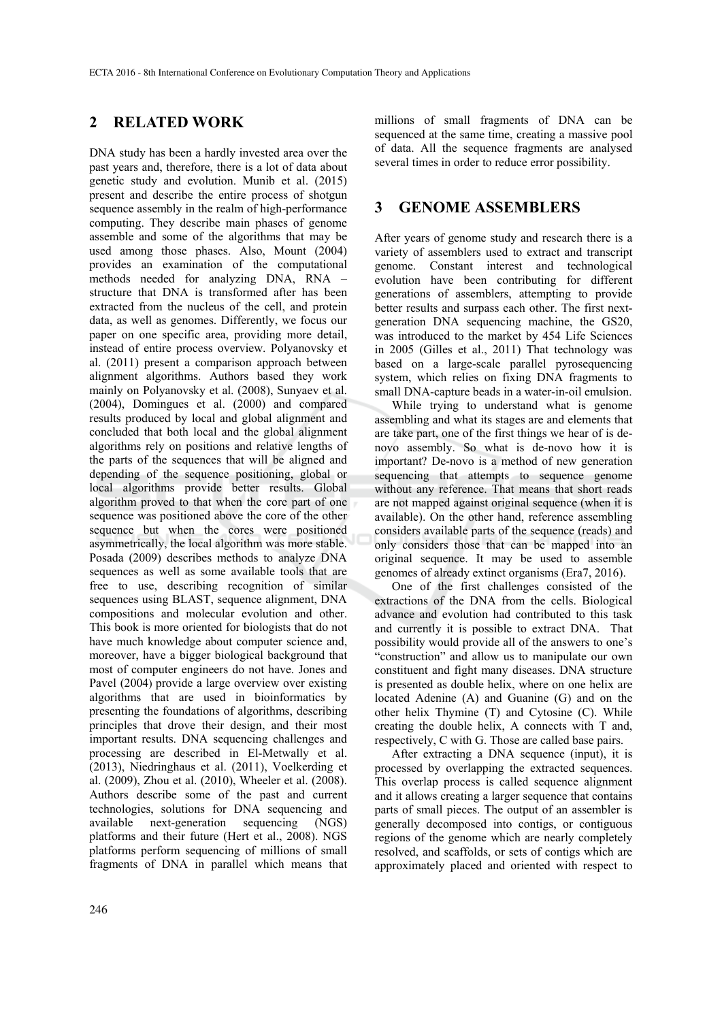### **2 RELATED WORK**

DNA study has been a hardly invested area over the past years and, therefore, there is a lot of data about genetic study and evolution. Munib et al. (2015) present and describe the entire process of shotgun sequence assembly in the realm of high-performance computing. They describe main phases of genome assemble and some of the algorithms that may be used among those phases. Also, Mount (2004) provides an examination of the computational methods needed for analyzing DNA, RNA – structure that DNA is transformed after has been extracted from the nucleus of the cell, and protein data, as well as genomes. Differently, we focus our paper on one specific area, providing more detail, instead of entire process overview. Polyanovsky et al. (2011) present a comparison approach between alignment algorithms. Authors based they work mainly on Polyanovsky et al. (2008), Sunyaev et al. (2004), Domingues et al. (2000) and compared results produced by local and global alignment and concluded that both local and the global alignment algorithms rely on positions and relative lengths of the parts of the sequences that will be aligned and depending of the sequence positioning, global or local algorithms provide better results. Global algorithm proved to that when the core part of one sequence was positioned above the core of the other sequence but when the cores were positioned asymmetrically, the local algorithm was more stable. Posada (2009) describes methods to analyze DNA sequences as well as some available tools that are free to use, describing recognition of similar sequences using BLAST, sequence alignment, DNA compositions and molecular evolution and other. This book is more oriented for biologists that do not have much knowledge about computer science and, moreover, have a bigger biological background that most of computer engineers do not have. Jones and Pavel (2004) provide a large overview over existing algorithms that are used in bioinformatics by presenting the foundations of algorithms, describing principles that drove their design, and their most important results. DNA sequencing challenges and processing are described in El-Metwally et al. (2013), Niedringhaus et al. (2011), Voelkerding et al. (2009), Zhou et al. (2010), Wheeler et al. (2008). Authors describe some of the past and current technologies, solutions for DNA sequencing and available next-generation sequencing (NGS) platforms and their future (Hert et al., 2008). NGS platforms perform sequencing of millions of small fragments of DNA in parallel which means that

millions of small fragments of DNA can be sequenced at the same time, creating a massive pool of data. All the sequence fragments are analysed several times in order to reduce error possibility.

### **3 GENOME ASSEMBLERS**

After years of genome study and research there is a variety of assemblers used to extract and transcript genome. Constant interest and technological evolution have been contributing for different generations of assemblers, attempting to provide better results and surpass each other. The first nextgeneration DNA sequencing machine, the GS20, was introduced to the market by 454 Life Sciences in 2005 (Gilles et al., 2011) That technology was based on a large-scale parallel pyrosequencing system, which relies on fixing DNA fragments to small DNA-capture beads in a water-in-oil emulsion.

While trying to understand what is genome assembling and what its stages are and elements that are take part, one of the first things we hear of is denovo assembly. So what is de-novo how it is important? De-novo is a method of new generation sequencing that attempts to sequence genome without any reference. That means that short reads are not mapped against original sequence (when it is available). On the other hand, reference assembling considers available parts of the sequence (reads) and only considers those that can be mapped into an original sequence. It may be used to assemble genomes of already extinct organisms (Era7, 2016).

One of the first challenges consisted of the extractions of the DNA from the cells. Biological advance and evolution had contributed to this task and currently it is possible to extract DNA. That possibility would provide all of the answers to one's "construction" and allow us to manipulate our own constituent and fight many diseases. DNA structure is presented as double helix, where on one helix are located Adenine (A) and Guanine (G) and on the other helix Thymine (T) and Cytosine (C). While creating the double helix, A connects with T and, respectively, C with G. Those are called base pairs.

After extracting a DNA sequence (input), it is processed by overlapping the extracted sequences. This overlap process is called sequence alignment and it allows creating a larger sequence that contains parts of small pieces. The output of an assembler is generally decomposed into contigs, or contiguous regions of the genome which are nearly completely resolved, and scaffolds, or sets of contigs which are approximately placed and oriented with respect to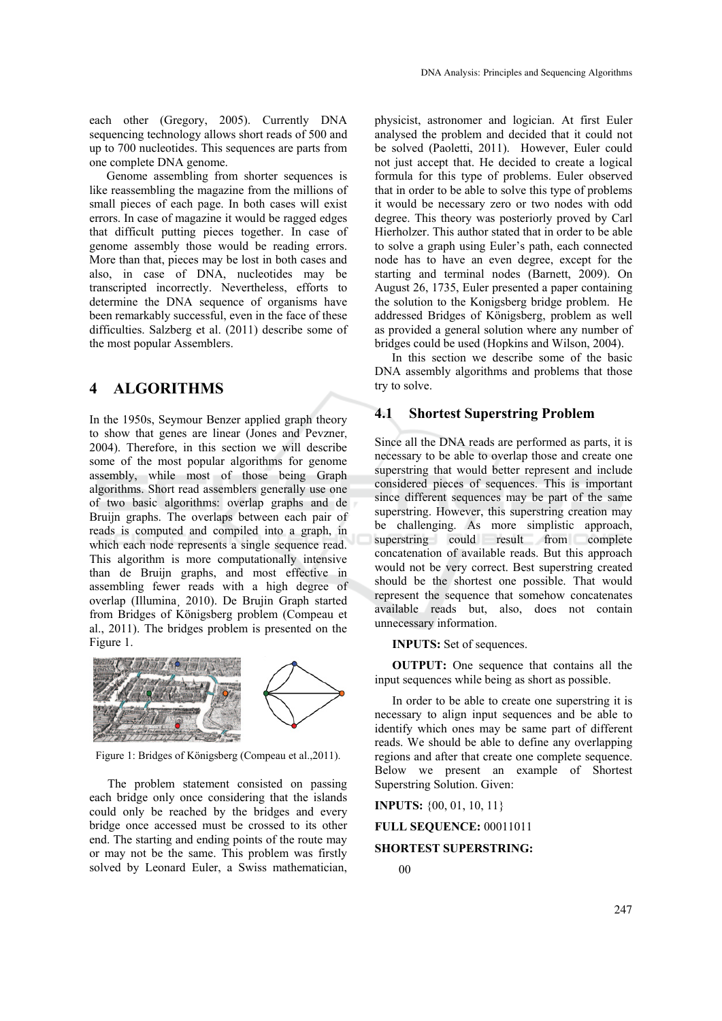each other (Gregory, 2005). Currently DNA sequencing technology allows short reads of 500 and up to 700 nucleotides. This sequences are parts from one complete DNA genome.

Genome assembling from shorter sequences is like reassembling the magazine from the millions of small pieces of each page. In both cases will exist errors. In case of magazine it would be ragged edges that difficult putting pieces together. In case of genome assembly those would be reading errors. More than that, pieces may be lost in both cases and also, in case of DNA, nucleotides may be transcripted incorrectly. Nevertheless, efforts to determine the DNA sequence of organisms have been remarkably successful, even in the face of these difficulties. Salzberg et al. (2011) describe some of the most popular Assemblers.

### **4 ALGORITHMS**

In the 1950s, Seymour Benzer applied graph theory to show that genes are linear (Jones and Pevzner, 2004). Therefore, in this section we will describe some of the most popular algorithms for genome assembly, while most of those being Graph algorithms. Short read assemblers generally use one of two basic algorithms: overlap graphs and de Bruijn graphs. The overlaps between each pair of reads is computed and compiled into a graph, in which each node represents a single sequence read. This algorithm is more computationally intensive than de Bruijn graphs, and most effective in assembling fewer reads with a high degree of overlap (Illumina¸ 2010). De Brujin Graph started from Bridges of Königsberg problem (Compeau et al., 2011). The bridges problem is presented on the Figure 1.



Figure 1: Bridges of Königsberg (Compeau et al.,2011).

The problem statement consisted on passing each bridge only once considering that the islands could only be reached by the bridges and every bridge once accessed must be crossed to its other end. The starting and ending points of the route may or may not be the same. This problem was firstly solved by Leonard Euler, a Swiss mathematician,

physicist, astronomer and logician. At first Euler analysed the problem and decided that it could not be solved (Paoletti, 2011). However, Euler could not just accept that. He decided to create a logical formula for this type of problems. Euler observed that in order to be able to solve this type of problems it would be necessary zero or two nodes with odd degree. This theory was posteriorly proved by Carl Hierholzer. This author stated that in order to be able to solve a graph using Euler's path, each connected node has to have an even degree, except for the starting and terminal nodes (Barnett, 2009). On August 26, 1735, Euler presented a paper containing the solution to the Konigsberg bridge problem. He addressed Bridges of Königsberg, problem as well as provided a general solution where any number of bridges could be used (Hopkins and Wilson, 2004).

In this section we describe some of the basic DNA assembly algorithms and problems that those try to solve.

### **4.1 Shortest Superstring Problem**

Since all the DNA reads are performed as parts, it is necessary to be able to overlap those and create one superstring that would better represent and include considered pieces of sequences. This is important since different sequences may be part of the same superstring. However, this superstring creation may be challenging. As more simplistic approach, superstring could result from complete concatenation of available reads. But this approach would not be very correct. Best superstring created should be the shortest one possible. That would represent the sequence that somehow concatenates available reads but, also, does not contain unnecessary information.

**INPUTS:** Set of sequences.

**OUTPUT:** One sequence that contains all the input sequences while being as short as possible.

In order to be able to create one superstring it is necessary to align input sequences and be able to identify which ones may be same part of different reads. We should be able to define any overlapping regions and after that create one complete sequence. Below we present an example of Shortest Superstring Solution. Given:

**INPUTS:** {00, 01, 10, 11}

**FULL SEQUENCE:** 00011011

#### **SHORTEST SUPERSTRING:**

 <sup>00</sup>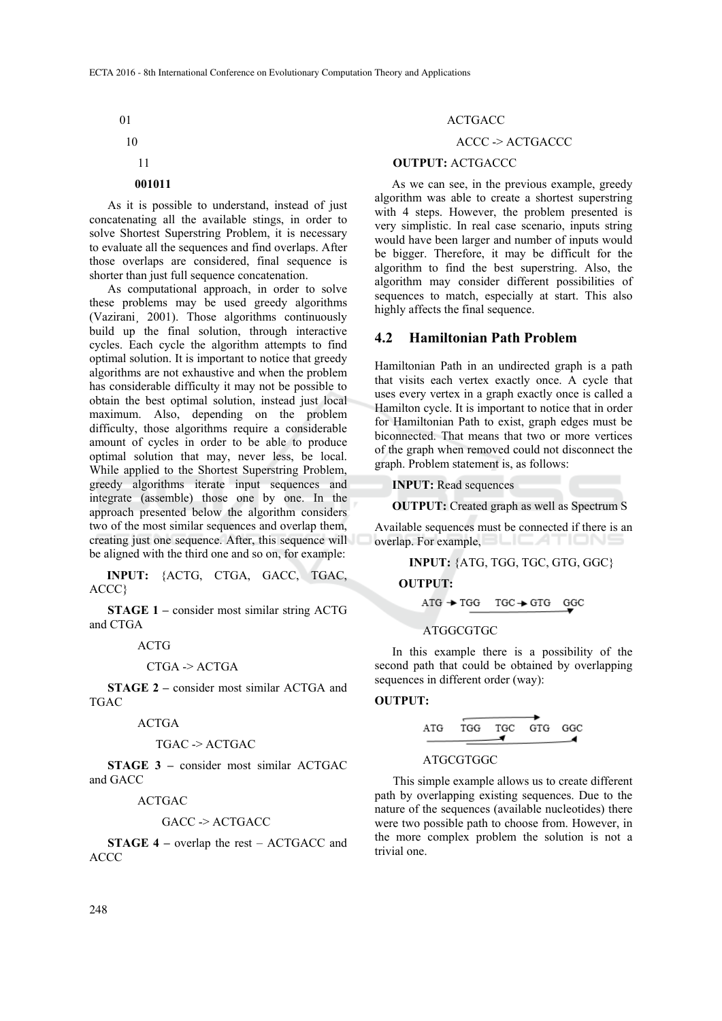01

# 10

### 11

### **001011**

As it is possible to understand, instead of just concatenating all the available stings, in order to solve Shortest Superstring Problem, it is necessary to evaluate all the sequences and find overlaps. After those overlaps are considered, final sequence is shorter than just full sequence concatenation.

As computational approach, in order to solve these problems may be used greedy algorithms (Vazirani¸ 2001). Those algorithms continuously build up the final solution, through interactive cycles. Each cycle the algorithm attempts to find optimal solution. It is important to notice that greedy algorithms are not exhaustive and when the problem has considerable difficulty it may not be possible to obtain the best optimal solution, instead just local maximum. Also, depending on the problem difficulty, those algorithms require a considerable amount of cycles in order to be able to produce optimal solution that may, never less, be local. While applied to the Shortest Superstring Problem, greedy algorithms iterate input sequences and integrate (assemble) those one by one. In the approach presented below the algorithm considers two of the most similar sequences and overlap them, creating just one sequence. After, this sequence will be aligned with the third one and so on, for example:

**INPUT:** {ACTG, CTGA, GACC, TGAC, ACCC}

**STAGE 1 –** consider most similar string ACTG and CTGA

ACTG

$$
CTGA \geq ACTGA
$$

**STAGE 2** – consider most similar ACTGA and TGAC

ACTGA

$$
TGAC \rightarrow ACTGAC
$$

**STAGE 3 –** consider most similar ACTGAC and GACC

ACTGAC

#### GACC -> ACTGACC

**STAGE 4 –** overlap the rest – ACTGACC and ACCC

#### ACTGACC

#### ACCC -> ACTGACCC

#### **OUTPUT:** ACTGACCC

As we can see, in the previous example, greedy algorithm was able to create a shortest superstring with 4 steps. However, the problem presented is very simplistic. In real case scenario, inputs string would have been larger and number of inputs would be bigger. Therefore, it may be difficult for the algorithm to find the best superstring. Also, the algorithm may consider different possibilities of sequences to match, especially at start. This also highly affects the final sequence.

### **4.2 Hamiltonian Path Problem**

Hamiltonian Path in an undirected graph is a path that visits each vertex exactly once. A cycle that uses every vertex in a graph exactly once is called a Hamilton cycle. It is important to notice that in order for Hamiltonian Path to exist, graph edges must be biconnected. That means that two or more vertices of the graph when removed could not disconnect the graph. Problem statement is, as follows:

**INPUT:** Read sequences

**OUTPUT:** Created graph as well as Spectrum S

Available sequences must be connected if there is an overlap. For example, **EXAMPLE AND THE REAL PROPERTY** 

**INPUT:** {ATG, TGG, TGC, GTG, GGC}

 **OUTPUT:** 

$$
ATG \rightarrow TGG
$$
  $TGC \rightarrow GTG$  GGC

#### ATGGCGTGC

In this example there is a possibility of the second path that could be obtained by overlapping sequences in different order (way):

#### **OUTPUT:**



#### ATGCGTGGC

This simple example allows us to create different path by overlapping existing sequences. Due to the nature of the sequences (available nucleotides) there were two possible path to choose from. However, in the more complex problem the solution is not a trivial one.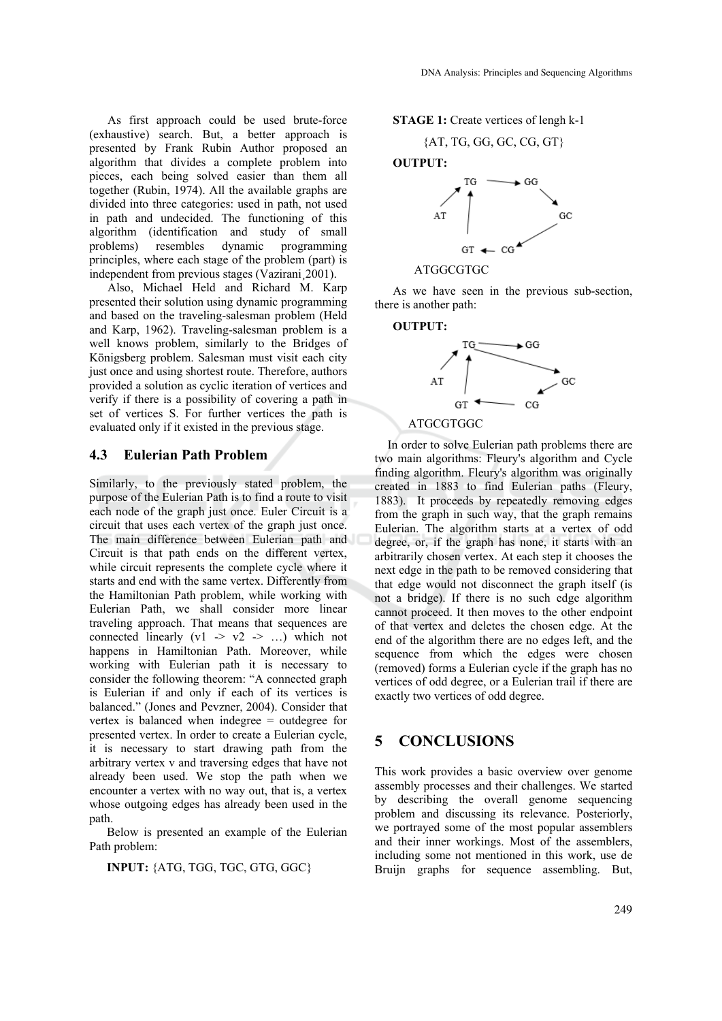As first approach could be used brute-force (exhaustive) search. But, a better approach is presented by Frank Rubin Author proposed an algorithm that divides a complete problem into pieces, each being solved easier than them all together (Rubin, 1974). All the available graphs are divided into three categories: used in path, not used in path and undecided. The functioning of this algorithm (identification and study of small problems) resembles dynamic programming principles, where each stage of the problem (part) is independent from previous stages (Vazirani¸2001).

Also, Michael Held and Richard M. Karp presented their solution using dynamic programming and based on the traveling-salesman problem (Held and Karp, 1962). Traveling-salesman problem is a well knows problem, similarly to the Bridges of Königsberg problem. Salesman must visit each city just once and using shortest route. Therefore, authors provided a solution as cyclic iteration of vertices and verify if there is a possibility of covering a path in set of vertices S. For further vertices the path is evaluated only if it existed in the previous stage.

#### **4.3 Eulerian Path Problem**

Similarly, to the previously stated problem, the purpose of the Eulerian Path is to find a route to visit each node of the graph just once. Euler Circuit is a circuit that uses each vertex of the graph just once. The main difference between Eulerian path and Circuit is that path ends on the different vertex, while circuit represents the complete cycle where it starts and end with the same vertex. Differently from the Hamiltonian Path problem, while working with Eulerian Path, we shall consider more linear traveling approach. That means that sequences are connected linearly  $(v1 \rightarrow v2 \rightarrow ...)$  which not happens in Hamiltonian Path. Moreover, while working with Eulerian path it is necessary to consider the following theorem: "A connected graph is Eulerian if and only if each of its vertices is balanced." (Jones and Pevzner, 2004). Consider that vertex is balanced when indegree = outdegree for presented vertex. In order to create a Eulerian cycle, it is necessary to start drawing path from the arbitrary vertex v and traversing edges that have not already been used. We stop the path when we encounter a vertex with no way out, that is, a vertex whose outgoing edges has already been used in the path.

Below is presented an example of the Eulerian Path problem:

**INPUT:** {ATG, TGG, TGC, GTG, GGC}

#### **STAGE 1:** Create vertices of lengh k-1

$$
\{AT, TG, GG, GC, CG, GT\}
$$



#### ATGGCGTGC

As we have seen in the previous sub-section, there is another path:

#### **OUTPUT:**



In order to solve Eulerian path problems there are two main algorithms: Fleury's algorithm and Cycle finding algorithm. Fleury's algorithm was originally created in 1883 to find Eulerian paths (Fleury, 1883). It proceeds by repeatedly removing edges from the graph in such way, that the graph remains Eulerian. The algorithm starts at a vertex of odd degree, or, if the graph has none, it starts with an arbitrarily chosen vertex. At each step it chooses the next edge in the path to be removed considering that that edge would not disconnect the graph itself (is not a bridge). If there is no such edge algorithm cannot proceed. It then moves to the other endpoint of that vertex and deletes the chosen edge. At the end of the algorithm there are no edges left, and the sequence from which the edges were chosen (removed) forms a Eulerian cycle if the graph has no vertices of odd degree, or a Eulerian trail if there are exactly two vertices of odd degree.

### **5 CONCLUSIONS**

This work provides a basic overview over genome assembly processes and their challenges. We started by describing the overall genome sequencing problem and discussing its relevance. Posteriorly, we portrayed some of the most popular assemblers and their inner workings. Most of the assemblers, including some not mentioned in this work, use de Bruijn graphs for sequence assembling. But,